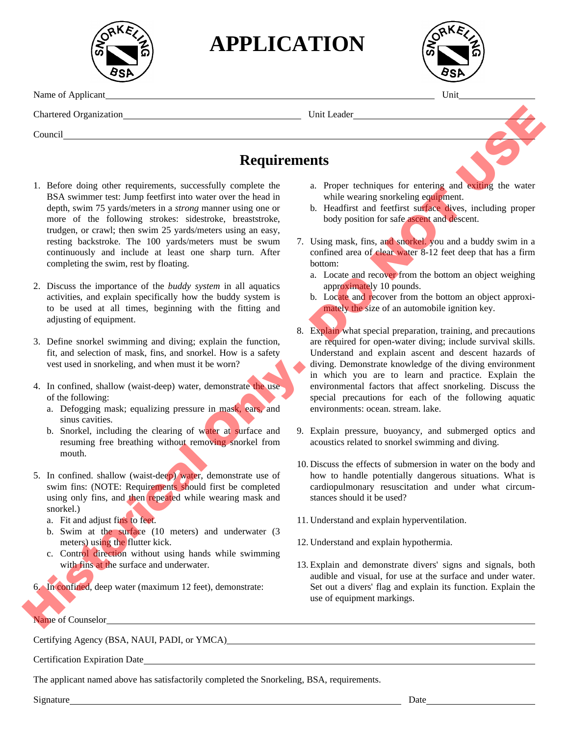

**APPLICATION**



Name of Applicant Unit

Chartered Organization Unit Leader

Council

## **Requirements**

- 1. Before doing other requirements, successfully complete the BSA swimmer test: Jump feetfirst into water over the head in depth, swim 75 yards/meters in a *strong* manner using one or more of the following strokes: sidestroke, breaststroke, trudgen, or crawl; then swim 25 yards/meters using an easy, resting backstroke. The 100 yards/meters must be swum continuously and include at least one sharp turn. After completing the swim, rest by floating.
- 2. Discuss the importance of the *buddy system* in all aquatics activities, and explain specifically how the buddy system is to be used at all times, beginning with the fitting and adjusting of equipment.
- 3. Define snorkel swimming and diving; explain the function, fit, and selection of mask, fins, and snorkel. How is a safety vest used in snorkeling, and when must it be worn?
- 4. In confined, shallow (waist-deep) water, demonstrate the use of the following:
	- a. Defogging mask; equalizing pressure in mask, ears, and sinus cavities.
	- b. Snorkel, including the clearing of water at surface and resuming free breathing without removing snorkel from mouth.
- 5. In confined. shallow (waist-deep) water, demonstrate use of swim fins: (NOTE: Requirements should first be completed using only fins, and then repeated while wearing mask and snorkel.)
	- a. Fit and adjust fins to feet.
	- b. Swim at the surface (10 meters) and underwater (3 meters) using the flutter kick.
	- c. Control direction without using hands while swimming with fins at the surface and underwater.

6. In confined, deep water (maximum 12 feet), demonstrate:

Name of Counselor

Certifying Agency (BSA, NAUI, PADI, or YMCA)

Certification Expiration Date

The applicant named above has satisfactorily completed the Snorkeling, BSA, requirements.

Signature Date

- a. Proper techniques for entering and exiting the water while wearing snorkeling equipment.
- b. Headfirst and feetfirst surface dives, including proper body position for safe ascent and descent.
- 7. Using mask, fins, and snorkel. you and a buddy swim in a confined area of clear water 8-12 feet deep that has a firm bottom:
	- a. Locate and recover from the bottom an object weighing approximately 10 pounds.
	- b. Locate and recover from the bottom an object approximately the size of an automobile ignition key.
- 8. Explain what special preparation, training, and precautions are required for open-water diving; include survival skills. Understand and explain ascent and descent hazards of diving. Demonstrate knowledge of the diving environment in which you are to learn and practice. Explain the environmental factors that affect snorkeling. Discuss the special precautions for each of the following aquatic environments: ocean. stream. lake. Characterization (Symbolistics)<br>
1. The form delay other expirements, successfully complete the all  $\sim$  Requirements of entering and such that the entering contains the properties of the control of the control of the con
	- 9. Explain pressure, buoyancy, and submerged optics and acoustics related to snorkel swimming and diving.
	- 10. Discuss the effects of submersion in water on the body and how to handle potentially dangerous situations. What is cardiopulmonary resuscitation and under what circumstances should it be used?
	- 11. Understand and explain hyperventilation.
	- 12. Understand and explain hypothermia.
	- 13. Explain and demonstrate divers' signs and signals, both audible and visual, for use at the surface and under water. Set out a divers' flag and explain its function. Explain the use of equipment markings.